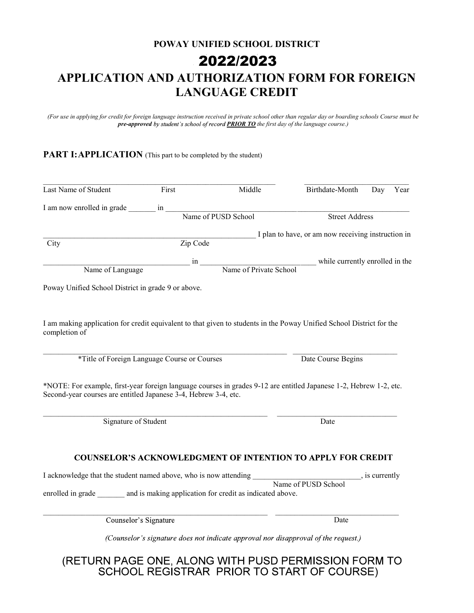## POWAY UNIFIED SCHOOL DISTRICT APPLICATION AND AUTHORIZATION FORM FOR FOREIGN LANGUAGE CREDIT XXXXXXX **2020/2021** 2022/2023

(For use in applying for credit for foreign language instruction received in private school other than regular day or boarding schools Course must be pre-approved by student's school of record **PRIOR TO** the first day of the language course.)

## PART I: APPLICATION (This part to be completed by the student)

| Last Name of Student                                                                                                                                                                                                                         | First                     | Middle                 | Birthdate-Month                                                                                   |                | Day Year |  |
|----------------------------------------------------------------------------------------------------------------------------------------------------------------------------------------------------------------------------------------------|---------------------------|------------------------|---------------------------------------------------------------------------------------------------|----------------|----------|--|
| I am now enrolled in grade                                                                                                                                                                                                                   |                           |                        |                                                                                                   |                |          |  |
|                                                                                                                                                                                                                                              | in<br>Name of PUSD School |                        | <b>Street Address</b>                                                                             |                |          |  |
|                                                                                                                                                                                                                                              |                           |                        | I plan to have, or am now receiving instruction in                                                |                |          |  |
| City                                                                                                                                                                                                                                         | Zip Code                  |                        |                                                                                                   |                |          |  |
|                                                                                                                                                                                                                                              | in                        |                        | while currently enrolled in the                                                                   |                |          |  |
| Name of Language                                                                                                                                                                                                                             |                           | Name of Private School |                                                                                                   |                |          |  |
| Poway Unified School District in grade 9 or above.                                                                                                                                                                                           |                           |                        |                                                                                                   |                |          |  |
| <i>*Title of Foreign Language Course or Courses</i><br>*NOTE: For example, first-year foreign language courses in grades 9-12 are entitled Japanese 1-2, Hebrew 1-2, etc.<br>Second-year courses are entitled Japanese 3-4, Hebrew 3-4, etc. |                           |                        | Date Course Begins                                                                                |                |          |  |
|                                                                                                                                                                                                                                              |                           |                        |                                                                                                   |                |          |  |
| Signature of Student                                                                                                                                                                                                                         |                           |                        | Date                                                                                              |                |          |  |
|                                                                                                                                                                                                                                              |                           |                        |                                                                                                   |                |          |  |
| I acknowledge that the student named above, who is now attending ____<br>enrolled in grade _______ and is making application for credit as indicated above.<br>Counselor's Signature                                                         |                           |                        | <b>COUNSELOR'S ACKNOWLEDGMENT OF INTENTION TO APPLY FOR CREDIT</b><br>Name of PUSD School<br>Date | , is currently |          |  |

(RETURN PAGE ONE, ALONG WITH PUSD PERMISSION FORM TO<br>SCHOOL REGISTRAR PRIOR TO START OF COURSE)